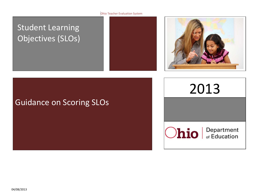#### Ohio Teacher Evaluation System

# Student Learning Objectives (SLOs)





# Guidance on Scoring SLOs

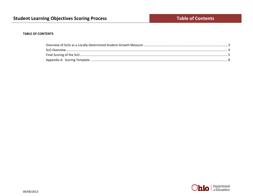#### **TABLE OF CONTENTS**

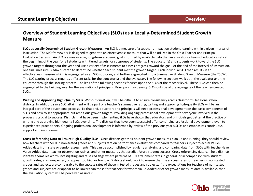# **Overview of Student Learning Objectives (SLOs) as a Locally-Determined Student Growth Measure**

**SLOs as Locally-Determined Student Growth Measures.** An SLO is a measure of a teacher's impact on student learning within a given interval of instruction. The SLO framework is designed to generate an effectiveness measure that will be utilized in the Ohio Teacher and Principal Evaluation Systems. An SLO is a measurable, long-term academic goal informed by available data that an educator or team of educators sets at the beginning of the year for all students with tiered targets for subgroups of students. The educator(s) and students work toward the SLO growth targets throughout the year and use a variety of assessments to assess progress toward the goal. At the end of the interval of instruction, one final measure is administered to determine whether each student met the growth target. Each individual SLO then results in an effectiveness measure which is aggregated as an SLO subscore, and further aggregated into a Summative Student Growth Measure (the "50%"). The SLO scoring process requires different tasks for the educator(s) and the evaluator. The following sections walk both the evaluator and the educator through the scoring process. The lens of the following sections focuses upon the SLOs at the teacher level. These SLOs can then be aggregated to the building level for the evaluation of principals. Principals may develop SLOs outside of the aggregate of the teacher-created SLOs.

**Writing and Approving High-Quality SLOs.** Without question, it will be difficult to ensure consistency across classrooms, let alone school districts. In addition, since SLO attainment will be part of a teacher's summative rating, writing and approving high-quality SLOs will be an integral part of the educational process. To that end, educators and principals will need professional development on the basic components of SLOs and how to set appropriate but ambitious growth targets. Providing ongoing professional development for everyone involved in the process is crucial to success. Districts that have been implementing SLOs have shown that educators and principals get better at the practice of writing and approving high-quality SLOs over time. The districts that have been successful offer continuing professional development, even to experienced practitioners. Ongoing professional development is informed by review of the previous year's SLOs and emphasizes continuous support and improvement.

**Cross-Referencing Data to Ensure High-Quality SLOs.** Once districts get their student growth measures plan up and running, they should review how teachers with SLOs in non-tested grades and subjects fare on performance evaluations compared to teachers subject to actual Value-Added data from state or vendor assessments. This can be accomplished by regularly analyzing and comparing data from SLOs with teacher-level Value-Added data, teacher observation ratings, and other measures that predict future student success. Cross-referencing data can help districts identify anomalies worth investigating and raise red flags where patterns of SLO attainment rates in general, or in comparison with student growth rates, are unexpected, or appear too high or too low. Districts should work to ensure that the success rates for teachers in non-tested grades and subjects are comparable to the success rates of those in tested grades and subjects. If the expectations for teachers of non-tested grades and subjects are or appear to be lower than those for teachers for whom Value-Added or other growth measure data is available, then the evaluation system will be perceived as unfair.

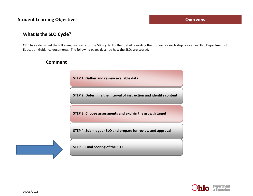# **Student Learning Objectives District 2008 Constanting Objectives Constanting Overview**

# **What Is the SLO Cycle?**

ODE has established the following five steps for the SLO cycle. Further detail regarding the process for each step is given in Ohio Department of Education Guidance documents. The following pages describe how the SLOs are scored.



## **Comment**

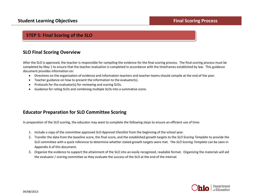# **STEP 5: Final Scoring of the SLO**

# **SLO Final Scoring Overview**

After the SLO is approved, the teacher is responsible for compiling the evidence for the final scoring process. The final scoring process must be completed by May 1 to ensure that the teacher evaluation is completed in accordance with the timeframes established by law. This guidance document provides information on:

- Directions on the organization of evidence and information teachers and teacher-teams should compile at the end of the year.
- Teacher guidance on how to present the information to the evaluator(s).
- Protocols for the evaluator(s) for reviewing and scoring SLOs.
- Guidance for rating SLOs and combining multiple SLOs into a summative score.

# **Educator Preparation for SLO Committee Scoring**

In preparation of the SLO scoring, the educator may want to complete the following steps to ensure an efficient use of time:

- 1. Include a copy of the committee approved *SLO Approval Checklist* from the beginning of the school year.
- 2. Transfer the data from the baseline score, the final score, and the established growth targets to the *SLO Scoring Template* to provide the SLO committee with a quick reference to determine whether stated growth targets were met. The *SLO Scoring Template* can be seen in Appendix A of this document.
- 3. Organize the evidence to support the attainment of the SLO into an easily recognized, readable format. Organizing the materials will aid the evaluator / scoring committee as they evaluate the success of the SLO at the end of the interval.

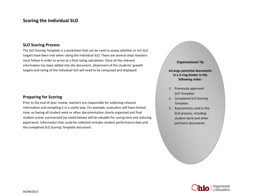# **Scoring the Individual SLO**

#### **SLO Scoring Process**

The *SLO Scoring Template* is a worksheet that can be used to assess whether or not SLO targets have been met when rating the individual SLO. There are several steps teachers must follow in order to arrive at a final rating calculation. Once all the relevant information has been added into the document, attainment of the students' growth targets and rating of the individual SLO will need to be computed and displayed.

### **Preparing for Scoring**

Prior to the end-of-year review, teachers are responsible for collecting relevant information and compiling it in a useful way. For example, evaluators will have limited time, so having all student work or other documentation clearly organized and final student scores summarized (as noted below) will be valuable for saving time and reducing paperwork. Information that could be collected includes student performance data and the completed *SLO Scoring Template* document.

#### *Organizational Tip*

**Arrange potential documents in a 3-ring binder in the following order:**

- *1.* Previously approved *SLO Template*
- 2. Completed *SLO Scoring Template*
- 3. Assessments used in the SLO process, including student work and other pertinent documents

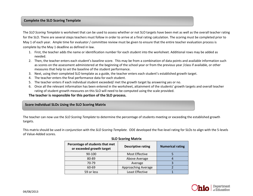#### **Complete the SLO Scoring Template**

The *SLO Scoring Template* is worksheet that can be used to assess whether or not SLO targets have been met as well as the overall teacher rating for the SLO. There are several steps teachers must follow in order to arrive at a final rating calculation. The scoring must be completed prior to May 1 of each year. Ample time for evaluator / committee review must be given to ensure that the entire teacher evaluation process is complete by the May 1 deadline as defined in law.

- 1. First, the teacher adds the name or identification number for each student into the worksheet. Additional rows may be added as needed.
- 2. Then, the teacher enters each student's baseline score. This may be from a combination of data points and available information such as scores on the assessment administered at the beginning of the school year or from the previous year /class if available, or other measures that help to set the baseline of the student performance.
- 3. Next, using their completed SLO template as a guide, the teacher enters each student's established growth target.
- 4. The teacher enters the final performance data for each student.
- 5. The teacher enters if each individual student exceeded/ met the growth target by answering yes or no.
- 6. Once all the relevant information has been entered in the worksheet, attainment of the students' growth targets and overall teacher rating of student growth measures on this SLO will need to be computed using the scale provided.

#### **The teacher is responsible for this portion of the SLO process.**

#### **Score Individual SLOs Using the SLO Scoring Matrix**

The teacher can now use the *SLO Scoring Template* to determine the percentage of students meeting or exceeding the established growth targets.

This matrix should be used in conjunction with the *SLO Scoring Template.* ODE developed the five-level rating for SLOs to align with the 5-levels of Value-Added scores.

| Percentage of students that met<br>or exceeded growth target | <b>Descriptive rating</b> | <b>Numerical rating</b> |
|--------------------------------------------------------------|---------------------------|-------------------------|
| 90-100                                                       | Most Effective            |                         |
| 80-89                                                        | Above Average             |                         |
| 70-79                                                        | Average                   |                         |
| 60-69                                                        | Approaching Average       |                         |
| 59 or less                                                   | Least Effective           |                         |

#### **SLO Scoring Matrix**